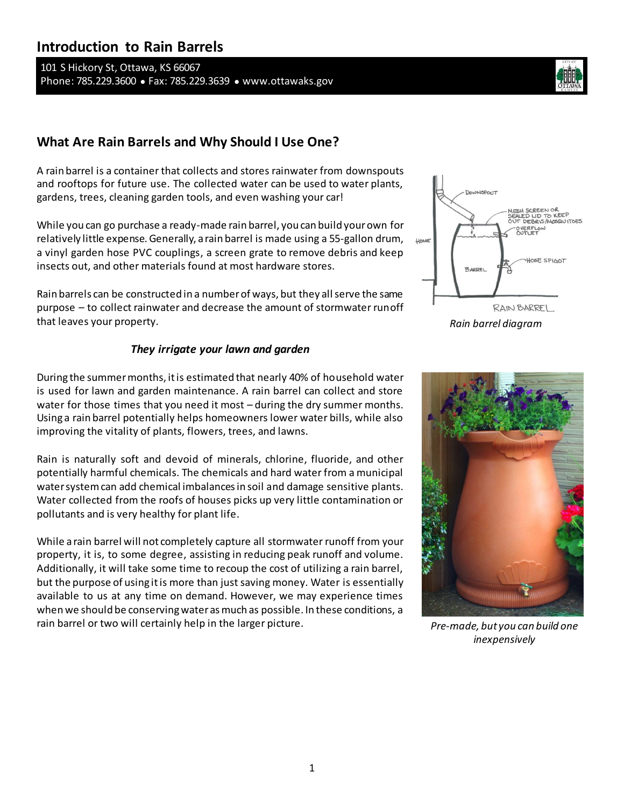# **Introduction to Rain Barrels**

101 S Hickory St, Ottawa, KS 66067 Phone: 785.229.3600 ● Fax: 785.229.3639 ● www.ottawaks.gov



## **What Are Rain Barrels and Why Should I Use One?**

A rain barrel is a container that collects and stores rainwater from downspouts and rooftops for future use. The collected water can be used to water plants, gardens, trees, cleaning garden tools, and even washing your car!

While you can go purchase a ready-made rain barrel, you can build your own for relatively little expense. Generally, a rain barrel is made using a 55-gallon drum, a vinyl garden hose PVC couplings, a screen grate to remove debris and keep insects out, and other materials found at most hardware stores.

Rain barrels can be constructed in a number of ways, but they all serve the same purpose – to collect rainwater and decrease the amount of stormwater runoff that leaves your property.

#### *They irrigate your lawn and garden*

During the summer months, it is estimated that nearly 40% of household water is used for lawn and garden maintenance. A rain barrel can collect and store water for those times that you need it most – during the dry summer months. Using a rain barrel potentially helps homeowners lower water bills, while also improving the vitality of plants, flowers, trees, and lawns.

Rain is naturally soft and devoid of minerals, chlorine, fluoride, and other potentially harmful chemicals. The chemicals and hard water from a municipal water system can add chemical imbalances in soil and damage sensitive plants. Water collected from the roofs of houses picks up very little contamination or pollutants and is very healthy for plant life.

While a rain barrel will not completely capture all stormwater runoff from your property, it is, to some degree, assisting in reducing peak runoff and volume. Additionally, it will take some time to recoup the cost of utilizing a rain barrel, but the purpose of using it is more than just saving money. Water is essentially available to us at any time on demand. However, we may experience times when we should be conserving water as much as possible. In these conditions, a rain barrel or two will certainly help in the larger picture.



*Rain barrel diagram*



*Pre-made, but you can build one inexpensively*